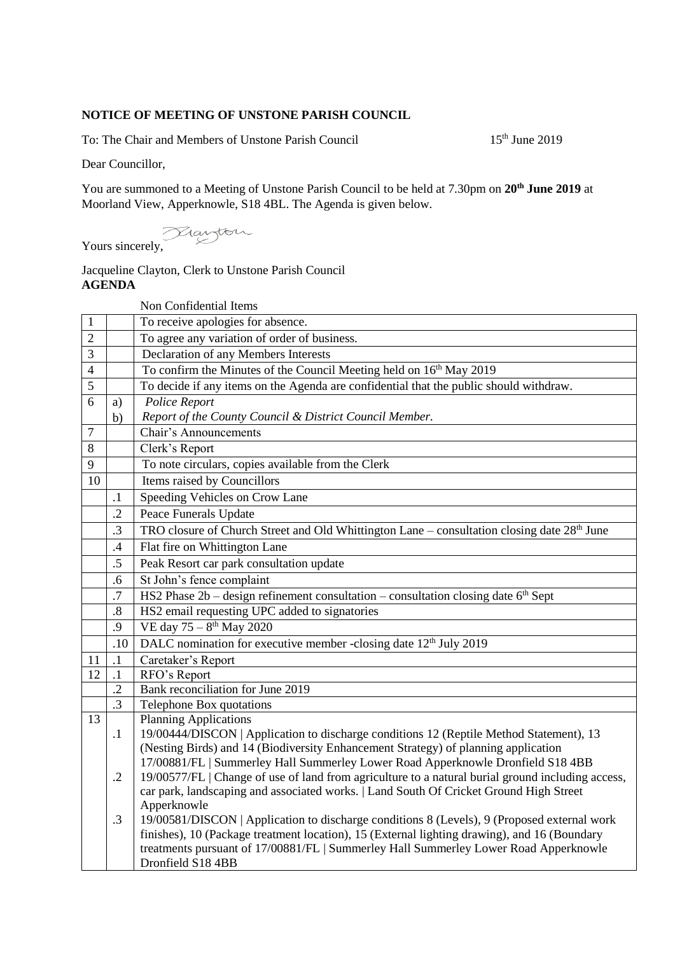## **NOTICE OF MEETING OF UNSTONE PARISH COUNCIL**

To: The Chair and Members of Unstone Parish Council 15<sup>th</sup> June 2019

Dear Councillor,

You are summoned to a Meeting of Unstone Parish Council to be held at 7.30pm on **20th June 2019** at Moorland View, Apperknowle, S18 4BL. The Agenda is given below.

Yours sincerely,

## Jacqueline Clayton, Clerk to Unstone Parish Council **AGENDA**

|                |            | Non Confidential Items                                                                                                                                                |
|----------------|------------|-----------------------------------------------------------------------------------------------------------------------------------------------------------------------|
| $\mathbf{1}$   |            | To receive apologies for absence.                                                                                                                                     |
| $\overline{2}$ |            | To agree any variation of order of business.                                                                                                                          |
| 3              |            | Declaration of any Members Interests                                                                                                                                  |
| $\overline{4}$ |            | To confirm the Minutes of the Council Meeting held on 16 <sup>th</sup> May 2019                                                                                       |
| 5              |            | To decide if any items on the Agenda are confidential that the public should withdraw.                                                                                |
| 6              | a)         | Police Report                                                                                                                                                         |
|                | b)         | Report of the County Council & District Council Member.                                                                                                               |
| 7              |            | <b>Chair's Announcements</b>                                                                                                                                          |
| 8              |            | Clerk's Report                                                                                                                                                        |
| 9              |            | To note circulars, copies available from the Clerk                                                                                                                    |
| 10             |            | Items raised by Councillors                                                                                                                                           |
|                | $\cdot$ 1  | Speeding Vehicles on Crow Lane                                                                                                                                        |
|                | $\cdot$ .2 | Peace Funerals Update                                                                                                                                                 |
|                | .3         | TRO closure of Church Street and Old Whittington Lane – consultation closing date $28th$ June                                                                         |
|                | .4         | Flat fire on Whittington Lane                                                                                                                                         |
|                | .5         | Peak Resort car park consultation update                                                                                                                              |
|                | .6         | St John's fence complaint                                                                                                                                             |
|                | .7         | HS2 Phase $2b -$ design refinement consultation $-$ consultation closing date $6th$ Sept                                                                              |
|                | $\cdot$ 8  | HS2 email requesting UPC added to signatories                                                                                                                         |
|                | .9         | VE day $75 - 8$ <sup>th</sup> May 2020                                                                                                                                |
|                | .10        | DALC nomination for executive member -closing date 12 <sup>th</sup> July 2019                                                                                         |
| 11             | $\cdot$ 1  | Caretaker's Report                                                                                                                                                    |
| 12             | $\cdot$ 1  | RFO's Report                                                                                                                                                          |
|                | $\cdot$    | Bank reconciliation for June 2019                                                                                                                                     |
|                | $\cdot$ 3  | Telephone Box quotations                                                                                                                                              |
| 13             |            | <b>Planning Applications</b>                                                                                                                                          |
|                | $\cdot$ 1  | 19/00444/DISCON   Application to discharge conditions 12 (Reptile Method Statement), 13                                                                               |
|                |            | (Nesting Birds) and 14 (Biodiversity Enhancement Strategy) of planning application<br>17/00881/FL   Summerley Hall Summerley Lower Road Apperknowle Dronfield S18 4BB |
|                | $\cdot$ .2 | 19/00577/FL   Change of use of land from agriculture to a natural burial ground including access,                                                                     |
|                |            | car park, landscaping and associated works.   Land South Of Cricket Ground High Street                                                                                |
|                |            | Apperknowle                                                                                                                                                           |
|                | $\cdot$ 3  | 19/00581/DISCON   Application to discharge conditions 8 (Levels), 9 (Proposed external work                                                                           |
|                |            | finishes), 10 (Package treatment location), 15 (External lighting drawing), and 16 (Boundary                                                                          |
|                |            | treatments pursuant of 17/00881/FL   Summerley Hall Summerley Lower Road Apperknowle                                                                                  |
|                |            | Dronfield S18 4BB                                                                                                                                                     |